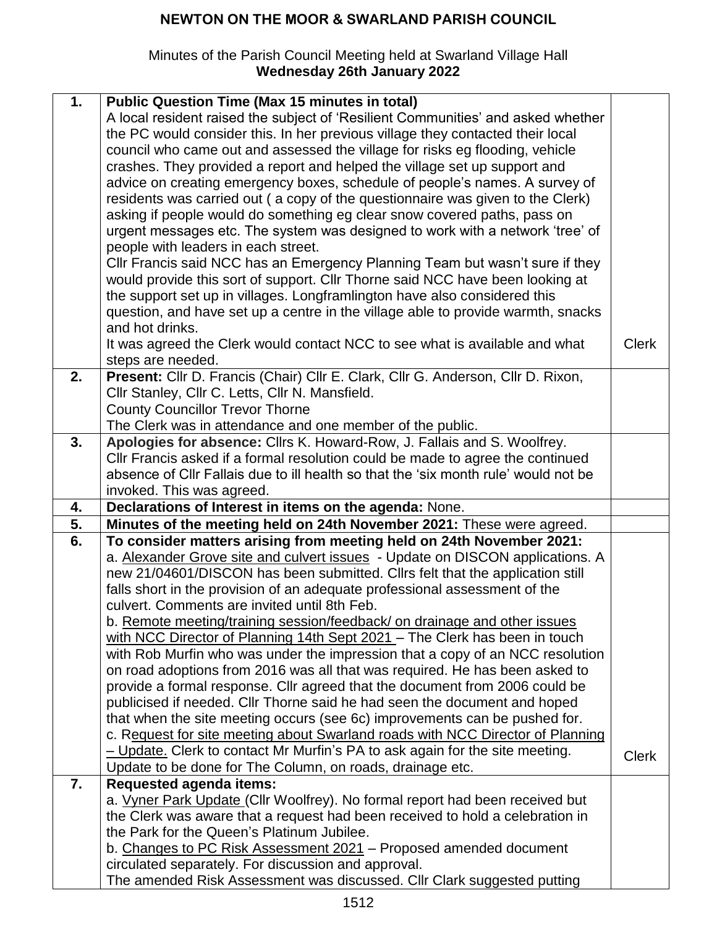## **NEWTON ON THE MOOR & SWARLAND PARISH COUNCIL**

## Minutes of the Parish Council Meeting held at Swarland Village Hall **Wednesday 26th January 2022**

| 1. | <b>Public Question Time (Max 15 minutes in total)</b><br>A local resident raised the subject of 'Resilient Communities' and asked whether<br>the PC would consider this. In her previous village they contacted their local<br>council who came out and assessed the village for risks eg flooding, vehicle<br>crashes. They provided a report and helped the village set up support and<br>advice on creating emergency boxes, schedule of people's names. A survey of<br>residents was carried out (a copy of the questionnaire was given to the Clerk)<br>asking if people would do something eg clear snow covered paths, pass on<br>urgent messages etc. The system was designed to work with a network 'tree' of<br>people with leaders in each street.<br>Cllr Francis said NCC has an Emergency Planning Team but wasn't sure if they |              |
|----|-----------------------------------------------------------------------------------------------------------------------------------------------------------------------------------------------------------------------------------------------------------------------------------------------------------------------------------------------------------------------------------------------------------------------------------------------------------------------------------------------------------------------------------------------------------------------------------------------------------------------------------------------------------------------------------------------------------------------------------------------------------------------------------------------------------------------------------------------|--------------|
|    | would provide this sort of support. Cllr Thorne said NCC have been looking at<br>the support set up in villages. Longframlington have also considered this                                                                                                                                                                                                                                                                                                                                                                                                                                                                                                                                                                                                                                                                                    |              |
|    | question, and have set up a centre in the village able to provide warmth, snacks<br>and hot drinks.                                                                                                                                                                                                                                                                                                                                                                                                                                                                                                                                                                                                                                                                                                                                           |              |
|    | It was agreed the Clerk would contact NCC to see what is available and what<br>steps are needed.                                                                                                                                                                                                                                                                                                                                                                                                                                                                                                                                                                                                                                                                                                                                              | <b>Clerk</b> |
| 2. | Present: Cllr D. Francis (Chair) Cllr E. Clark, Cllr G. Anderson, Cllr D. Rixon,<br>Cllr Stanley, Cllr C. Letts, Cllr N. Mansfield.                                                                                                                                                                                                                                                                                                                                                                                                                                                                                                                                                                                                                                                                                                           |              |
|    | <b>County Councillor Trevor Thorne</b>                                                                                                                                                                                                                                                                                                                                                                                                                                                                                                                                                                                                                                                                                                                                                                                                        |              |
|    | The Clerk was in attendance and one member of the public.                                                                                                                                                                                                                                                                                                                                                                                                                                                                                                                                                                                                                                                                                                                                                                                     |              |
| 3. | Apologies for absence: Cllrs K. Howard-Row, J. Fallais and S. Woolfrey.<br>CIIr Francis asked if a formal resolution could be made to agree the continued                                                                                                                                                                                                                                                                                                                                                                                                                                                                                                                                                                                                                                                                                     |              |
|    | absence of Cllr Fallais due to ill health so that the 'six month rule' would not be                                                                                                                                                                                                                                                                                                                                                                                                                                                                                                                                                                                                                                                                                                                                                           |              |
|    | invoked. This was agreed.                                                                                                                                                                                                                                                                                                                                                                                                                                                                                                                                                                                                                                                                                                                                                                                                                     |              |
| 4. | Declarations of Interest in items on the agenda: None.                                                                                                                                                                                                                                                                                                                                                                                                                                                                                                                                                                                                                                                                                                                                                                                        |              |
| 5. | Minutes of the meeting held on 24th November 2021: These were agreed.                                                                                                                                                                                                                                                                                                                                                                                                                                                                                                                                                                                                                                                                                                                                                                         |              |
| 6. | To consider matters arising from meeting held on 24th November 2021:                                                                                                                                                                                                                                                                                                                                                                                                                                                                                                                                                                                                                                                                                                                                                                          |              |
|    | a. Alexander Grove site and culvert issues - Update on DISCON applications. A<br>new 21/04601/DISCON has been submitted. Cllrs felt that the application still                                                                                                                                                                                                                                                                                                                                                                                                                                                                                                                                                                                                                                                                                |              |
|    | falls short in the provision of an adequate professional assessment of the                                                                                                                                                                                                                                                                                                                                                                                                                                                                                                                                                                                                                                                                                                                                                                    |              |
|    | culvert. Comments are invited until 8th Feb.                                                                                                                                                                                                                                                                                                                                                                                                                                                                                                                                                                                                                                                                                                                                                                                                  |              |
|    | b. Remote meeting/training session/feedback/ on drainage and other issues                                                                                                                                                                                                                                                                                                                                                                                                                                                                                                                                                                                                                                                                                                                                                                     |              |
|    | with NCC Director of Planning 14th Sept 2021 - The Clerk has been in touch<br>with Rob Murfin who was under the impression that a copy of an NCC resolution                                                                                                                                                                                                                                                                                                                                                                                                                                                                                                                                                                                                                                                                                   |              |
|    | on road adoptions from 2016 was all that was required. He has been asked to                                                                                                                                                                                                                                                                                                                                                                                                                                                                                                                                                                                                                                                                                                                                                                   |              |
|    | provide a formal response. Cllr agreed that the document from 2006 could be                                                                                                                                                                                                                                                                                                                                                                                                                                                                                                                                                                                                                                                                                                                                                                   |              |
|    | publicised if needed. Cllr Thorne said he had seen the document and hoped                                                                                                                                                                                                                                                                                                                                                                                                                                                                                                                                                                                                                                                                                                                                                                     |              |
|    | that when the site meeting occurs (see 6c) improvements can be pushed for.<br>c. Request for site meeting about Swarland roads with NCC Director of Planning                                                                                                                                                                                                                                                                                                                                                                                                                                                                                                                                                                                                                                                                                  |              |
|    | - Update. Clerk to contact Mr Murfin's PA to ask again for the site meeting.                                                                                                                                                                                                                                                                                                                                                                                                                                                                                                                                                                                                                                                                                                                                                                  | <b>Clerk</b> |
|    | Update to be done for The Column, on roads, drainage etc.                                                                                                                                                                                                                                                                                                                                                                                                                                                                                                                                                                                                                                                                                                                                                                                     |              |
| 7. | <b>Requested agenda items:</b>                                                                                                                                                                                                                                                                                                                                                                                                                                                                                                                                                                                                                                                                                                                                                                                                                |              |
|    | a. Vyner Park Update (Cllr Woolfrey). No formal report had been received but                                                                                                                                                                                                                                                                                                                                                                                                                                                                                                                                                                                                                                                                                                                                                                  |              |
|    | the Clerk was aware that a request had been received to hold a celebration in<br>the Park for the Queen's Platinum Jubilee.                                                                                                                                                                                                                                                                                                                                                                                                                                                                                                                                                                                                                                                                                                                   |              |
|    | b. Changes to PC Risk Assessment 2021 – Proposed amended document                                                                                                                                                                                                                                                                                                                                                                                                                                                                                                                                                                                                                                                                                                                                                                             |              |
|    | circulated separately. For discussion and approval.                                                                                                                                                                                                                                                                                                                                                                                                                                                                                                                                                                                                                                                                                                                                                                                           |              |
|    | The amended Risk Assessment was discussed. Cllr Clark suggested putting                                                                                                                                                                                                                                                                                                                                                                                                                                                                                                                                                                                                                                                                                                                                                                       |              |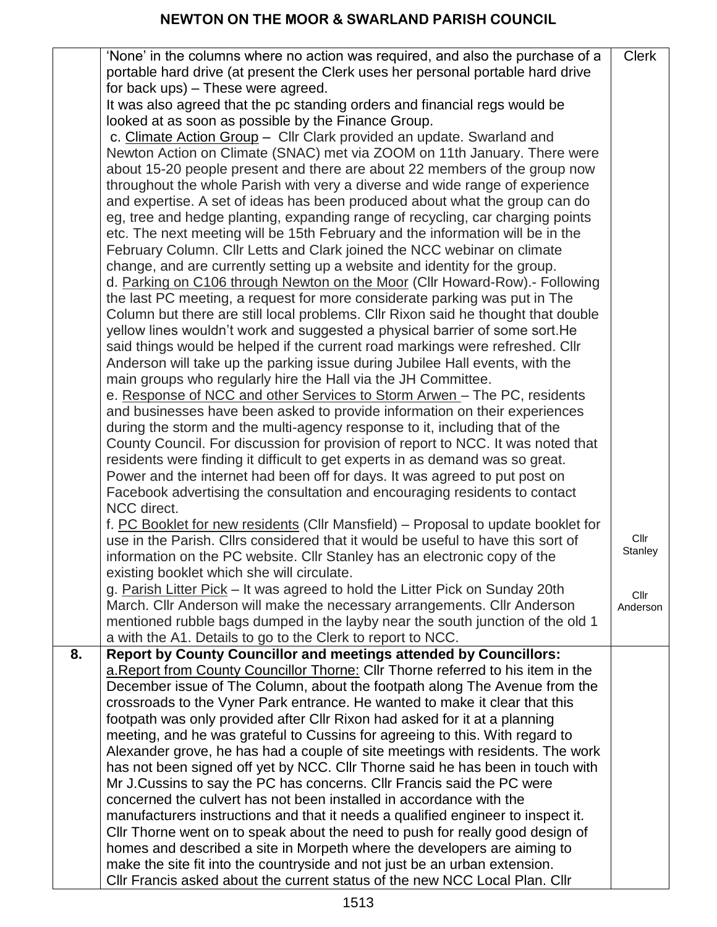|    | 'None' in the columns where no action was required, and also the purchase of a    | <b>Clerk</b>    |
|----|-----------------------------------------------------------------------------------|-----------------|
|    | portable hard drive (at present the Clerk uses her personal portable hard drive   |                 |
|    | for back ups) – These were agreed.                                                |                 |
|    | It was also agreed that the pc standing orders and financial regs would be        |                 |
|    | looked at as soon as possible by the Finance Group.                               |                 |
|    | c. Climate Action Group - Cllr Clark provided an update. Swarland and             |                 |
|    | Newton Action on Climate (SNAC) met via ZOOM on 11th January. There were          |                 |
|    | about 15-20 people present and there are about 22 members of the group now        |                 |
|    | throughout the whole Parish with very a diverse and wide range of experience      |                 |
|    | and expertise. A set of ideas has been produced about what the group can do       |                 |
|    | eg, tree and hedge planting, expanding range of recycling, car charging points    |                 |
|    | etc. The next meeting will be 15th February and the information will be in the    |                 |
|    | February Column. Cllr Letts and Clark joined the NCC webinar on climate           |                 |
|    | change, and are currently setting up a website and identity for the group.        |                 |
|    | d. Parking on C106 through Newton on the Moor (Cllr Howard-Row).- Following       |                 |
|    | the last PC meeting, a request for more considerate parking was put in The        |                 |
|    | Column but there are still local problems. Cllr Rixon said he thought that double |                 |
|    | yellow lines wouldn't work and suggested a physical barrier of some sort. He      |                 |
|    | said things would be helped if the current road markings were refreshed. Cllr     |                 |
|    | Anderson will take up the parking issue during Jubilee Hall events, with the      |                 |
|    | main groups who regularly hire the Hall via the JH Committee.                     |                 |
|    | e. Response of NCC and other Services to Storm Arwen - The PC, residents          |                 |
|    | and businesses have been asked to provide information on their experiences        |                 |
|    | during the storm and the multi-agency response to it, including that of the       |                 |
|    | County Council. For discussion for provision of report to NCC. It was noted that  |                 |
|    | residents were finding it difficult to get experts in as demand was so great.     |                 |
|    | Power and the internet had been off for days. It was agreed to put post on        |                 |
|    | Facebook advertising the consultation and encouraging residents to contact        |                 |
|    | NCC direct.                                                                       |                 |
|    | f. PC Booklet for new residents (Cllr Mansfield) – Proposal to update booklet for |                 |
|    | use in the Parish. Cllrs considered that it would be useful to have this sort of  | Cllr<br>Stanley |
|    | information on the PC website. Cllr Stanley has an electronic copy of the         |                 |
|    | existing booklet which she will circulate.                                        |                 |
|    | g. Parish Litter Pick - It was agreed to hold the Litter Pick on Sunday 20th      | Cllr            |
|    | March. Cllr Anderson will make the necessary arrangements. Cllr Anderson          | Anderson        |
|    | mentioned rubble bags dumped in the layby near the south junction of the old 1    |                 |
|    | a with the A1. Details to go to the Clerk to report to NCC.                       |                 |
| 8. | <b>Report by County Councillor and meetings attended by Councillors:</b>          |                 |
|    | a. Report from County Councillor Thorne: Cllr Thorne referred to his item in the  |                 |
|    | December issue of The Column, about the footpath along The Avenue from the        |                 |
|    | crossroads to the Vyner Park entrance. He wanted to make it clear that this       |                 |
|    | footpath was only provided after CIIr Rixon had asked for it at a planning        |                 |
|    | meeting, and he was grateful to Cussins for agreeing to this. With regard to      |                 |
|    | Alexander grove, he has had a couple of site meetings with residents. The work    |                 |
|    | has not been signed off yet by NCC. Cllr Thorne said he has been in touch with    |                 |
|    | Mr J.Cussins to say the PC has concerns. Cllr Francis said the PC were            |                 |
|    | concerned the culvert has not been installed in accordance with the               |                 |
|    | manufacturers instructions and that it needs a qualified engineer to inspect it.  |                 |
|    | CIIr Thorne went on to speak about the need to push for really good design of     |                 |
|    | homes and described a site in Morpeth where the developers are aiming to          |                 |
|    | make the site fit into the countryside and not just be an urban extension.        |                 |
|    | Cllr Francis asked about the current status of the new NCC Local Plan. Cllr       |                 |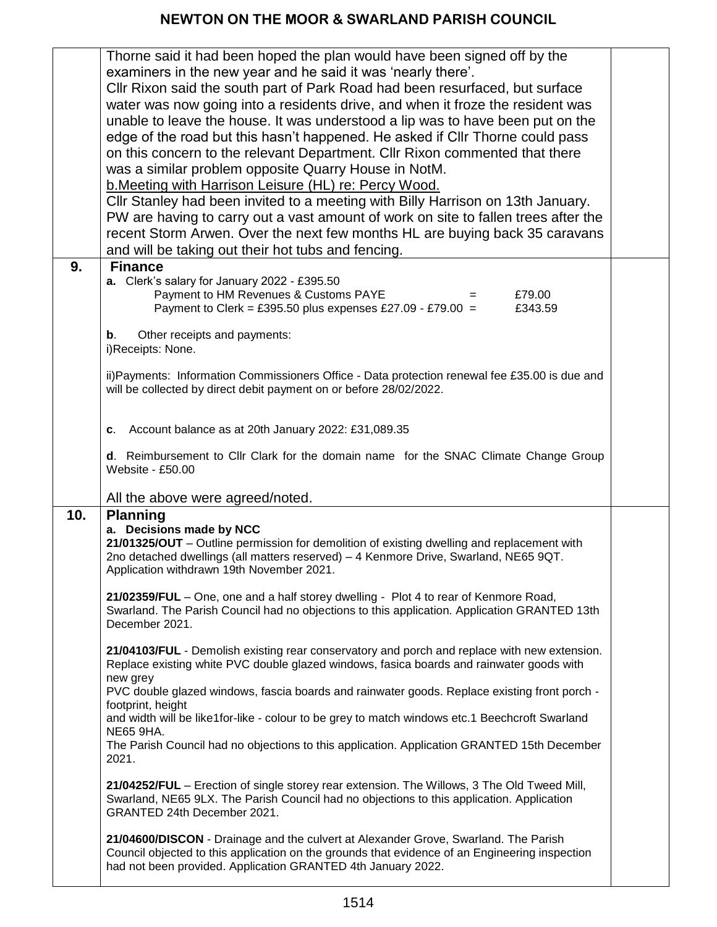## **NEWTON ON THE MOOR & SWARLAND PARISH COUNCIL**

|     | Thorne said it had been hoped the plan would have been signed off by the<br>examiners in the new year and he said it was 'nearly there'.<br>Cllr Rixon said the south part of Park Road had been resurfaced, but surface<br>water was now going into a residents drive, and when it froze the resident was<br>unable to leave the house. It was understood a lip was to have been put on the<br>edge of the road but this hasn't happened. He asked if Cllr Thorne could pass<br>on this concern to the relevant Department. Cllr Rixon commented that there<br>was a similar problem opposite Quarry House in NotM.<br>b. Meeting with Harrison Leisure (HL) re: Percy Wood.<br>Cllr Stanley had been invited to a meeting with Billy Harrison on 13th January.<br>PW are having to carry out a vast amount of work on site to fallen trees after the<br>recent Storm Arwen. Over the next few months HL are buying back 35 caravans<br>and will be taking out their hot tubs and fencing. |  |
|-----|---------------------------------------------------------------------------------------------------------------------------------------------------------------------------------------------------------------------------------------------------------------------------------------------------------------------------------------------------------------------------------------------------------------------------------------------------------------------------------------------------------------------------------------------------------------------------------------------------------------------------------------------------------------------------------------------------------------------------------------------------------------------------------------------------------------------------------------------------------------------------------------------------------------------------------------------------------------------------------------------|--|
| 9.  | <b>Finance</b><br>a. Clerk's salary for January 2022 - £395.50<br>Payment to HM Revenues & Customs PAYE<br>£79.00<br>$=$<br>Payment to Clerk = £395.50 plus expenses £27.09 - £79.00 =<br>£343.59<br>Other receipts and payments:<br>b.<br>i)Receipts: None.                                                                                                                                                                                                                                                                                                                                                                                                                                                                                                                                                                                                                                                                                                                                |  |
|     | ii) Payments: Information Commissioners Office - Data protection renewal fee £35.00 is due and<br>will be collected by direct debit payment on or before 28/02/2022.                                                                                                                                                                                                                                                                                                                                                                                                                                                                                                                                                                                                                                                                                                                                                                                                                        |  |
|     | Account balance as at 20th January 2022: £31,089.35<br>C.<br>d. Reimbursement to Cllr Clark for the domain name for the SNAC Climate Change Group<br>Website - £50.00<br>All the above were agreed/noted.                                                                                                                                                                                                                                                                                                                                                                                                                                                                                                                                                                                                                                                                                                                                                                                   |  |
| 10. | <b>Planning</b><br>a. Decisions made by NCC<br>21/01325/OUT - Outline permission for demolition of existing dwelling and replacement with<br>2no detached dwellings (all matters reserved) - 4 Kenmore Drive, Swarland, NE65 9QT.<br>Application withdrawn 19th November 2021.<br>21/02359/FUL – One, one and a half storey dwelling - Plot 4 to rear of Kenmore Road,<br>Swarland. The Parish Council had no objections to this application. Application GRANTED 13th<br>December 2021.<br>21/04103/FUL - Demolish existing rear conservatory and porch and replace with new extension.<br>Replace existing white PVC double glazed windows, fasica boards and rainwater goods with                                                                                                                                                                                                                                                                                                        |  |
|     | new grey<br>PVC double glazed windows, fascia boards and rainwater goods. Replace existing front porch -<br>footprint, height<br>and width will be like1for-like - colour to be grey to match windows etc.1 Beechcroft Swarland<br><b>NE65 9HA.</b><br>The Parish Council had no objections to this application. Application GRANTED 15th December<br>2021.                                                                                                                                                                                                                                                                                                                                                                                                                                                                                                                                                                                                                                 |  |
|     | 21/04252/FUL - Erection of single storey rear extension. The Willows, 3 The Old Tweed Mill,<br>Swarland, NE65 9LX. The Parish Council had no objections to this application. Application<br>GRANTED 24th December 2021.                                                                                                                                                                                                                                                                                                                                                                                                                                                                                                                                                                                                                                                                                                                                                                     |  |
|     | 21/04600/DISCON - Drainage and the culvert at Alexander Grove, Swarland. The Parish<br>Council objected to this application on the grounds that evidence of an Engineering inspection<br>had not been provided. Application GRANTED 4th January 2022.                                                                                                                                                                                                                                                                                                                                                                                                                                                                                                                                                                                                                                                                                                                                       |  |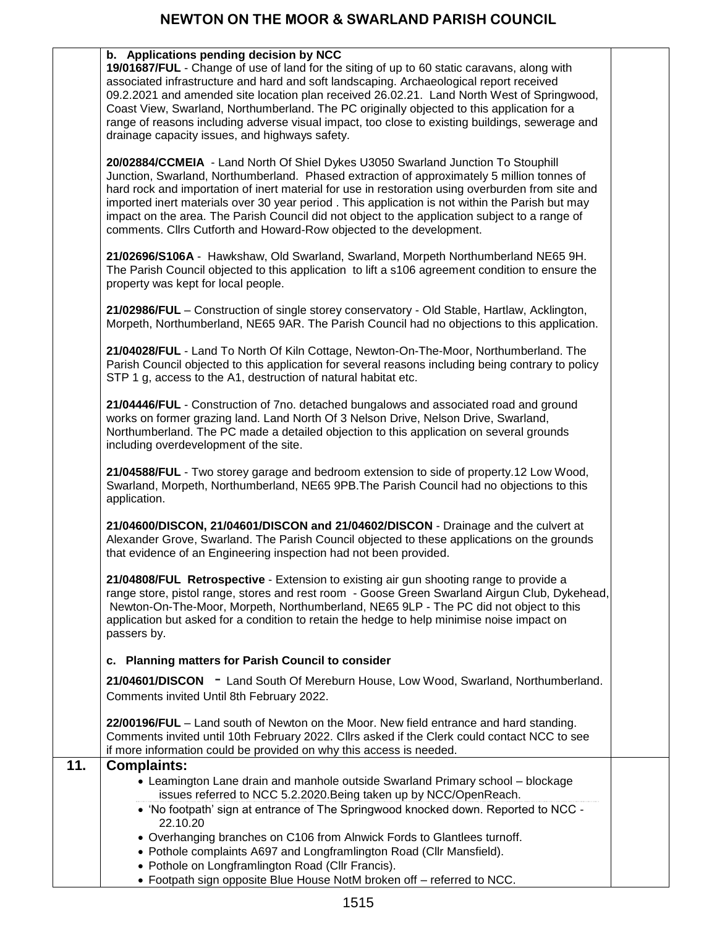|     | b. Applications pending decision by NCC<br>19/01687/FUL - Change of use of land for the siting of up to 60 static caravans, along with<br>associated infrastructure and hard and soft landscaping. Archaeological report received<br>09.2.2021 and amended site location plan received 26.02.21. Land North West of Springwood,<br>Coast View, Swarland, Northumberland. The PC originally objected to this application for a<br>range of reasons including adverse visual impact, too close to existing buildings, sewerage and<br>drainage capacity issues, and highways safety. |  |
|-----|------------------------------------------------------------------------------------------------------------------------------------------------------------------------------------------------------------------------------------------------------------------------------------------------------------------------------------------------------------------------------------------------------------------------------------------------------------------------------------------------------------------------------------------------------------------------------------|--|
|     | 20/02884/CCMEIA - Land North Of Shiel Dykes U3050 Swarland Junction To Stouphill<br>Junction, Swarland, Northumberland. Phased extraction of approximately 5 million tonnes of<br>hard rock and importation of inert material for use in restoration using overburden from site and<br>imported inert materials over 30 year period. This application is not within the Parish but may<br>impact on the area. The Parish Council did not object to the application subject to a range of<br>comments. Cllrs Cutforth and Howard-Row objected to the development.                   |  |
|     | 21/02696/S106A - Hawkshaw, Old Swarland, Swarland, Morpeth Northumberland NE65 9H.<br>The Parish Council objected to this application to lift a s106 agreement condition to ensure the<br>property was kept for local people.                                                                                                                                                                                                                                                                                                                                                      |  |
|     | 21/02986/FUL - Construction of single storey conservatory - Old Stable, Hartlaw, Acklington,<br>Morpeth, Northumberland, NE65 9AR. The Parish Council had no objections to this application.                                                                                                                                                                                                                                                                                                                                                                                       |  |
|     | 21/04028/FUL - Land To North Of Kiln Cottage, Newton-On-The-Moor, Northumberland. The<br>Parish Council objected to this application for several reasons including being contrary to policy<br>STP 1 g, access to the A1, destruction of natural habitat etc.                                                                                                                                                                                                                                                                                                                      |  |
|     | 21/04446/FUL - Construction of 7no. detached bungalows and associated road and ground<br>works on former grazing land. Land North Of 3 Nelson Drive, Nelson Drive, Swarland,<br>Northumberland. The PC made a detailed objection to this application on several grounds<br>including overdevelopment of the site.                                                                                                                                                                                                                                                                  |  |
|     | 21/04588/FUL - Two storey garage and bedroom extension to side of property.12 Low Wood,<br>Swarland, Morpeth, Northumberland, NE65 9PB. The Parish Council had no objections to this<br>application.                                                                                                                                                                                                                                                                                                                                                                               |  |
|     | 21/04600/DISCON, 21/04601/DISCON and 21/04602/DISCON - Drainage and the culvert at<br>Alexander Grove, Swarland. The Parish Council objected to these applications on the grounds<br>that evidence of an Engineering inspection had not been provided.                                                                                                                                                                                                                                                                                                                             |  |
|     | 21/04808/FUL Retrospective - Extension to existing air gun shooting range to provide a<br>range store, pistol range, stores and rest room - Goose Green Swarland Airgun Club, Dykehead,<br>Newton-On-The-Moor, Morpeth, Northumberland, NE65 9LP - The PC did not object to this<br>application but asked for a condition to retain the hedge to help minimise noise impact on<br>passers by.                                                                                                                                                                                      |  |
|     | c. Planning matters for Parish Council to consider                                                                                                                                                                                                                                                                                                                                                                                                                                                                                                                                 |  |
|     | 21/04601/DISCON - Land South Of Mereburn House, Low Wood, Swarland, Northumberland.<br>Comments invited Until 8th February 2022.                                                                                                                                                                                                                                                                                                                                                                                                                                                   |  |
|     | 22/00196/FUL - Land south of Newton on the Moor. New field entrance and hard standing.<br>Comments invited until 10th February 2022. Cllrs asked if the Clerk could contact NCC to see<br>if more information could be provided on why this access is needed.                                                                                                                                                                                                                                                                                                                      |  |
| 11. | <b>Complaints:</b>                                                                                                                                                                                                                                                                                                                                                                                                                                                                                                                                                                 |  |
|     | • Leamington Lane drain and manhole outside Swarland Primary school – blockage<br>issues referred to NCC 5.2.2020. Being taken up by NCC/OpenReach.<br>• 'No footpath' sign at entrance of The Springwood knocked down. Reported to NCC -<br>22.10.20                                                                                                                                                                                                                                                                                                                              |  |
|     | • Overhanging branches on C106 from Alnwick Fords to Glantlees turnoff.<br>• Pothole complaints A697 and Longframlington Road (Cllr Mansfield).<br>• Pothole on Longframlington Road (Cllr Francis).                                                                                                                                                                                                                                                                                                                                                                               |  |

Footpath sign opposite Blue House NotM broken off – referred to NCC.